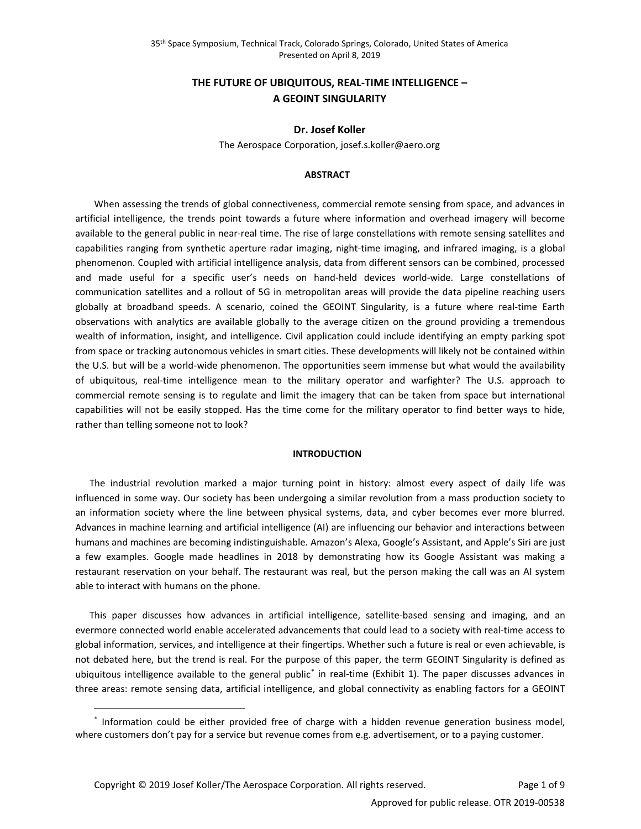# **THE FUTURE OF UBIQUITOUS, REAL-TIME INTELLIGENCE – A GEOINT SINGULARITY**

#### **Dr. Josef Koller**

The Aerospace Corporation, josef.s.koller@aero.org

## **ABSTRACT**

When assessing the trends of global connectiveness, commercial remote sensing from space, and advances in artificial intelligence, the trends point towards a future where information and overhead imagery will become available to the general public in near-real time. The rise of large constellations with remote sensing satellites and capabilities ranging from synthetic aperture radar imaging, night-time imaging, and infrared imaging, is a global phenomenon. Coupled with artificial intelligence analysis, data from different sensors can be combined, processed and made useful for a specific user's needs on hand-held devices world-wide. Large constellations of communication satellites and a rollout of 5G in metropolitan areas will provide the data pipeline reaching users globally at broadband speeds. A scenario, coined the GEOINT Singularity, is a future where real-time Earth observations with analytics are available globally to the average citizen on the ground providing a tremendous wealth of information, insight, and intelligence. Civil application could include identifying an empty parking spot from space or tracking autonomous vehicles in smart cities. These developments will likely not be contained within the U.S. but will be a world-wide phenomenon. The opportunities seem immense but what would the availability of ubiquitous, real-time intelligence mean to the military operator and warfighter? The U.S. approach to commercial remote sensing is to regulate and limit the imagery that can be taken from space but international capabilities will not be easily stopped. Has the time come for the military operator to find better ways to hide, rather than telling someone not to look?

## **INTRODUCTION**

The industrial revolution marked a major turning point in history: almost every aspect of daily life was influenced in some way. Our society has been undergoing a similar revolution from a mass production society to an information society where the line between physical systems, data, and cyber becomes ever more blurred. Advances in machine learning and artificial intelligence (AI) are influencing our behavior and interactions between humans and machines are becoming indistinguishable. Amazon's Alexa, Google's Assistant, and Apple's Siri are just a few examples. Google made headlines in 2018 by demonstrating how its Google Assistant was making a restaurant reservation on your behalf. The restaurant was real, but the person making the call was an AI system able to interact with humans on the phone.

This paper discusses how advances in artificial intelligence, satellite-based sensing and imaging, and an evermore connected world enable accelerated advancements that could lead to a society with real-time access to global information, services, and intelligence at their fingertips. Whether such a future is real or even achievable, is not debated here, but the trend is real. For the purpose of this paper, the term GEOINT Singularity is defined as ubiquitous intelligence available to the general public[\\*](#page-0-0) in real-time (Exhibit 1). The paper discusses advances in three areas: remote sensing data, artificial intelligence, and global connectivity as enabling factors for a GEOINT

 $\overline{a}$ 

<span id="page-0-0"></span><sup>\*</sup> Information could be either provided free of charge with a hidden revenue generation business model, where customers don't pay for a service but revenue comes from e.g. advertisement, or to a paying customer.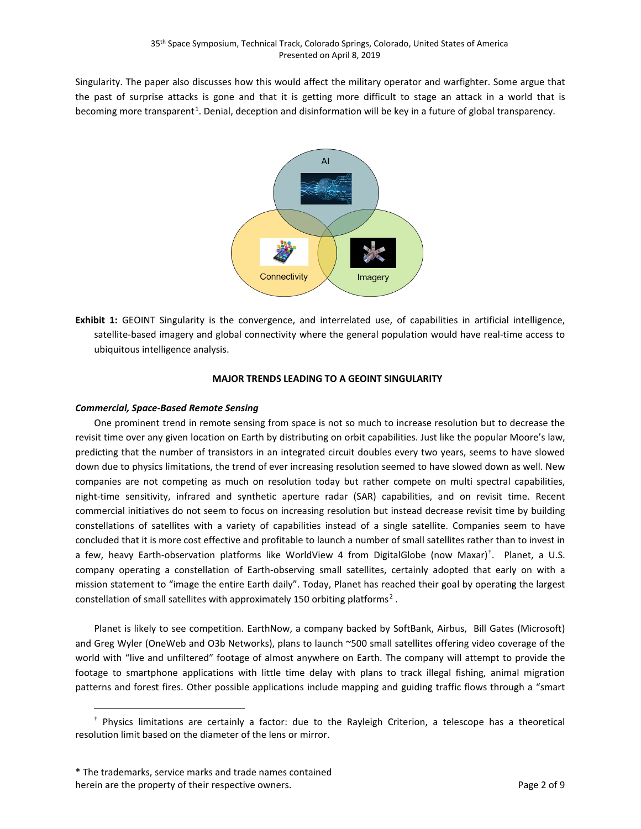Singularity. The paper also discusses how this would affect the military operator and warfighter. Some argue that the past of surprise attacks is gone and that it is getting more difficult to stage an attack in a world that is becoming more transparent<sup>[1](#page-7-0)</sup>. Denial, deception and disinformation will be key in a future of global transparency.



**Exhibit 1:** GEOINT Singularity is the convergence, and interrelated use, of capabilities in artificial intelligence, satellite-based imagery and global connectivity where the general population would have real-time access to ubiquitous intelligence analysis.

## **MAJOR TRENDS LEADING TO A GEOINT SINGULARITY**

#### *Commercial, Space-Based Remote Sensing*

One prominent trend in remote sensing from space is not so much to increase resolution but to decrease the revisit time over any given location on Earth by distributing on orbit capabilities. Just like the popular Moore's law, predicting that the number of transistors in an integrated circuit doubles every two years, seems to have slowed down due to physics limitations, the trend of ever increasing resolution seemed to have slowed down as well. New companies are not competing as much on resolution today but rather compete on multi spectral capabilities, night-time sensitivity, infrared and synthetic aperture radar (SAR) capabilities, and on revisit time. Recent commercial initiatives do not seem to focus on increasing resolution but instead decrease revisit time by building constellations of satellites with a variety of capabilities instead of a single satellite. Companies seem to have concluded that it is more cost effective and profitable to launch a number of small satellites rather than to invest in a few, heavy Earth-observation platforms like WorldView 4 from DigitalGlobe (now Maxar)<sup>[†](#page-1-0)</sup>. Planet, a U.S. company operating a constellation of Earth-observing small satellites, certainly adopted that early on with a mission statement to "image the entire Earth daily". Today, Planet has reached their goal by operating the largest constellation of small satellites with approximately 150 orbiting platforms<sup>[2](#page-7-1)</sup>.

Planet is likely to see competition. EarthNow, a company backed by SoftBank, Airbus, Bill Gates (Microsoft) and Greg Wyler (OneWeb and O3b Networks), plans to launch ~500 small satellites offering video coverage of the world with "live and unfiltered" footage of almost anywhere on Earth. The company will attempt to provide the footage to smartphone applications with little time delay with plans to track illegal fishing, animal migration patterns and forest fires. Other possible applications include mapping and guiding traffic flows through a "smart

 $\overline{a}$ 

<span id="page-1-0"></span><sup>†</sup> Physics limitations are certainly a factor: due to the Rayleigh Criterion, a telescope has a theoretical resolution limit based on the diameter of the lens or mirror.

<sup>\*</sup> The trademarks, service marks and trade names contained herein are the property of their respective owners. The property of 9 and 2 of 9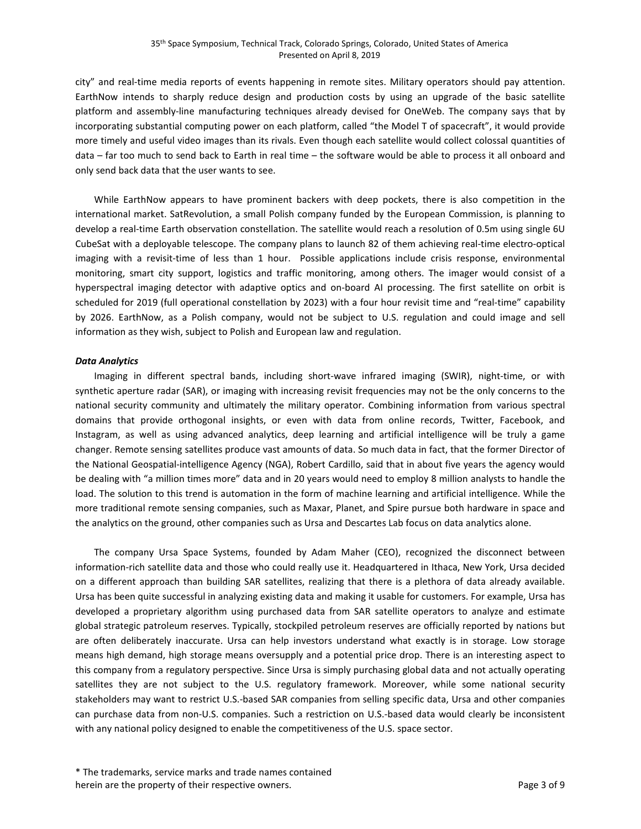city" and real-time media reports of events happening in remote sites. Military operators should pay attention. EarthNow intends to sharply reduce design and production costs by using an upgrade of the basic satellite platform and assembly-line manufacturing techniques already devised for OneWeb. The company says that by incorporating substantial computing power on each platform, called "the Model T of spacecraft", it would provide more timely and useful video images than its rivals. Even though each satellite would collect colossal quantities of data – far too much to send back to Earth in real time – the software would be able to process it all onboard and only send back data that the user wants to see.

While EarthNow appears to have prominent backers with deep pockets, there is also competition in the international market. SatRevolution, a small Polish company funded by the European Commission, is planning to develop a real-time Earth observation constellation. The satellite would reach a resolution of 0.5m using single 6U CubeSat with a deployable telescope. The company plans to launch 82 of them achieving real-time electro-optical imaging with a revisit-time of less than 1 hour. Possible applications include crisis response, environmental monitoring, smart city support, logistics and traffic monitoring, among others. The imager would consist of a hyperspectral imaging detector with adaptive optics and on-board AI processing. The first satellite on orbit is scheduled for 2019 (full operational constellation by 2023) with a four hour revisit time and "real-time" capability by 2026. EarthNow, as a Polish company, would not be subject to U.S. regulation and could image and sell information as they wish, subject to Polish and European law and regulation.

#### *Data Analytics*

Imaging in different spectral bands, including short-wave infrared imaging (SWIR), night-time, or with synthetic aperture radar (SAR), or imaging with increasing revisit frequencies may not be the only concerns to the national security community and ultimately the military operator. Combining information from various spectral domains that provide orthogonal insights, or even with data from online records, Twitter, Facebook, and Instagram, as well as using advanced analytics, deep learning and artificial intelligence will be truly a game changer. Remote sensing satellites produce vast amounts of data. So much data in fact, that the former Director of the National Geospatial-intelligence Agency (NGA), Robert Cardillo, said that in about five years the agency would be dealing with "a million times more" data and in 20 years would need to employ 8 million analysts to handle the load. The solution to this trend is automation in the form of machine learning and artificial intelligence. While the more traditional remote sensing companies, such as Maxar, Planet, and Spire pursue both hardware in space and the analytics on the ground, other companies such as Ursa and Descartes Lab focus on data analytics alone.

The company Ursa Space Systems, founded by Adam Maher (CEO), recognized the disconnect between information-rich satellite data and those who could really use it. Headquartered in Ithaca, New York, Ursa decided on a different approach than building SAR satellites, realizing that there is a plethora of data already available. Ursa has been quite successful in analyzing existing data and making it usable for customers. For example, Ursa has developed a proprietary algorithm using purchased data from SAR satellite operators to analyze and estimate global strategic patroleum reserves. Typically, stockpiled petroleum reserves are officially reported by nations but are often deliberately inaccurate. Ursa can help investors understand what exactly is in storage. Low storage means high demand, high storage means oversupply and a potential price drop. There is an interesting aspect to this company from a regulatory perspective. Since Ursa is simply purchasing global data and not actually operating satellites they are not subject to the U.S. regulatory framework. Moreover, while some national security stakeholders may want to restrict U.S.-based SAR companies from selling specific data, Ursa and other companies can purchase data from non-U.S. companies. Such a restriction on U.S.-based data would clearly be inconsistent with any national policy designed to enable the competitiveness of the U.S. space sector.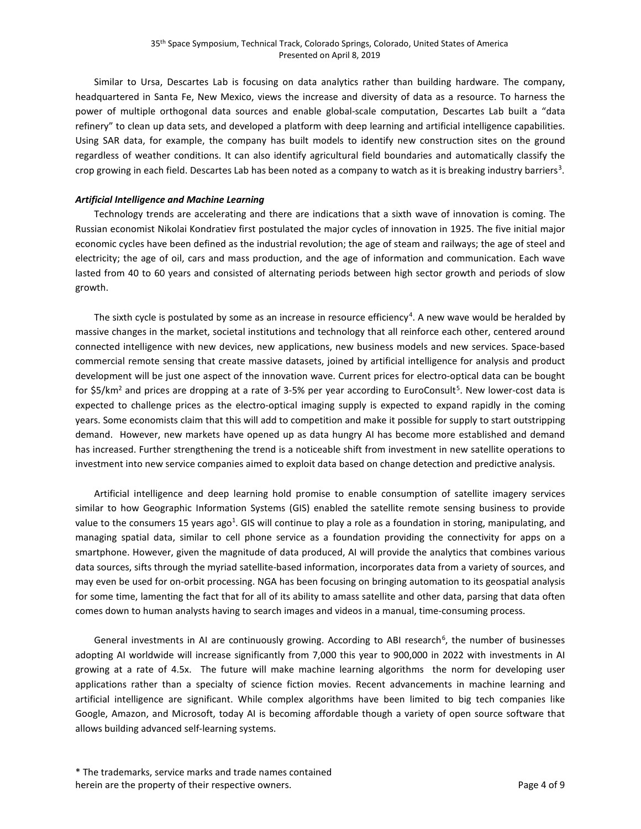Similar to Ursa, Descartes Lab is focusing on data analytics rather than building hardware. The company, headquartered in Santa Fe, New Mexico, views the increase and diversity of data as a resource. To harness the power of multiple orthogonal data sources and enable global-scale computation, Descartes Lab built a "data refinery" to clean up data sets, and developed a platform with deep learning and artificial intelligence capabilities. Using SAR data, for example, the company has built models to identify new construction sites on the ground regardless of weather conditions. It can also identify agricultural field boundaries and automatically classify the crop growing in each field. Descartes Lab has been noted as a company to watch as it is breaking industry barriers<sup>[3](#page-7-2)</sup>.

## *Artificial Intelligence and Machine Learning*

Technology trends are accelerating and there are indications that a sixth wave of innovation is coming. The Russian economist Nikolai Kondratiev first postulated the major cycles of innovation in 1925. The five initial major economic cycles have been defined as the industrial revolution; the age of steam and railways; the age of steel and electricity; the age of oil, cars and mass production, and the age of information and communication. Each wave lasted from 40 to 60 years and consisted of alternating periods between high sector growth and periods of slow growth.

The sixth cycle is postulated by some as an increase in resource efficiency<sup>[4](#page-8-0)</sup>. A new wave would be heralded by massive changes in the market, societal institutions and technology that all reinforce each other, centered around connected intelligence with new devices, new applications, new business models and new services. Space-based commercial remote sensing that create massive datasets, joined by artificial intelligence for analysis and product development will be just one aspect of the innovation wave. Current prices for electro-optical data can be bought for \$[5](#page-8-1)/km<sup>2</sup> and prices are dropping at a rate of 3-5% per year according to EuroConsult<sup>5</sup>. New lower-cost data is expected to challenge prices as the electro-optical imaging supply is expected to expand rapidly in the coming years. Some economists claim that this will add to competition and make it possible for supply to start outstripping demand. However, new markets have opened up as data hungry AI has become more established and demand has increased. Further strengthening the trend is a noticeable shift from investment in new satellite operations to investment into new service companies aimed to exploit data based on change detection and predictive analysis.

Artificial intelligence and deep learning hold promise to enable consumption of satellite imagery services similar to how Geographic Information Systems (GIS) enabled the satellite remote sensing business to provide value to the consumers 15 years ago<sup>1</sup>. GIS will continue to play a role as a foundation in storing, manipulating, and managing spatial data, similar to cell phone service as a foundation providing the connectivity for apps on a smartphone. However, given the magnitude of data produced, AI will provide the analytics that combines various data sources, sifts through the myriad satellite-based information, incorporates data from a variety of sources, and may even be used for on-orbit processing. NGA has been focusing on bringing automation to its geospatial analysis for some time, lamenting the fact that for all of its ability to amass satellite and other data, parsing that data often comes down to human analysts having to search images and videos in a manual, time-consuming process.

General investments in AI are continuously growing. According to ABI research<sup>[6](#page-8-2)</sup>, the number of businesses adopting AI worldwide will increase significantly from 7,000 this year to 900,000 in 2022 with investments in AI growing at a rate of 4.5x. The future will make machine learning algorithms the norm for developing user applications rather than a specialty of science fiction movies. Recent advancements in machine learning and artificial intelligence are significant. While complex algorithms have been limited to big tech companies like Google, Amazon, and Microsoft, today AI is becoming affordable though a variety of open source software that allows building advanced self-learning systems.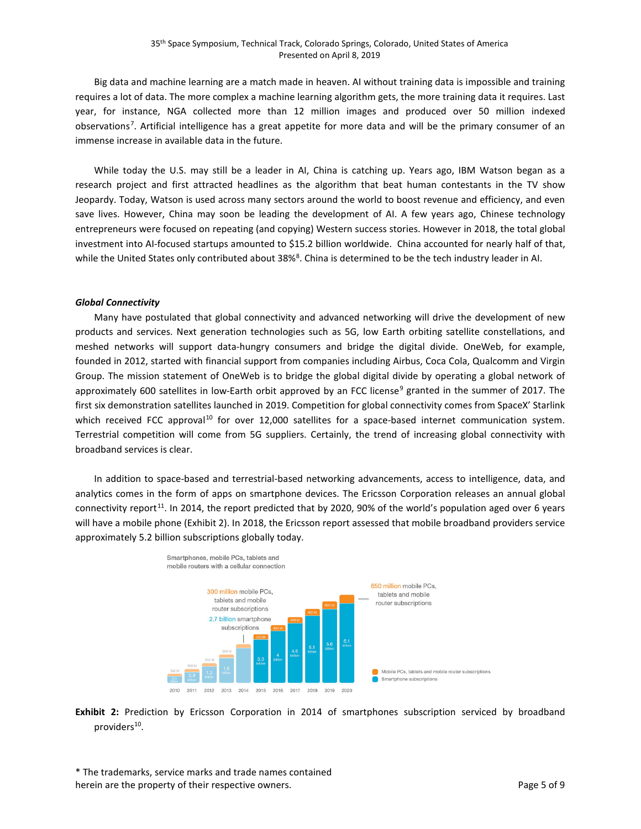Big data and machine learning are a match made in heaven. AI without training data is impossible and training requires a lot of data. The more complex a machine learning algorithm gets, the more training data it requires. Last year, for instance, NGA collected more than 12 million images and produced over 50 million indexed observations<sup>[7](#page-8-3)</sup>. Artificial intelligence has a great appetite for more data and will be the primary consumer of an immense increase in available data in the future.

While today the U.S. may still be a leader in AI, China is catching up. Years ago, IBM Watson began as a research project and first attracted headlines as the algorithm that beat human contestants in the TV show Jeopardy. Today, Watson is used across many sectors around the world to boost revenue and efficiency, and even save lives. However, China may soon be leading the development of AI. A few years ago, Chinese technology entrepreneurs were focused on repeating (and copying) Western success stories. However in 2018, the total global investment into AI-focused startups amounted to \$15.2 billion worldwide. China accounted for nearly half of that, while the United States only contributed about 3[8](#page-8-4)%<sup>8</sup>. China is determined to be the tech industry leader in AI.

#### *Global Connectivity*

Many have postulated that global connectivity and advanced networking will drive the development of new products and services. Next generation technologies such as 5G, low Earth orbiting satellite constellations, and meshed networks will support data-hungry consumers and bridge the digital divide. OneWeb, for example, founded in 2012, started with financial support from companies including Airbus, Coca Cola, Qualcomm and Virgin Group. The mission statement of OneWeb is to bridge the global digital divide by operating a global network of approximately 600 satellites in low-Earth orbit approved by an FCC license<sup>[9](#page-8-5)</sup> granted in the summer of 2017. The first six demonstration satellites launched in 2019. Competition for global connectivity comes from SpaceX' Starlink which received FCC approval<sup>[10](#page-8-6)</sup> for over 12,000 satellites for a space-based internet communication system. Terrestrial competition will come from 5G suppliers. Certainly, the trend of increasing global connectivity with broadband services is clear.

In addition to space-based and terrestrial-based networking advancements, access to intelligence, data, and analytics comes in the form of apps on smartphone devices. The Ericsson Corporation releases an annual global connectivity report<sup>11</sup>. In 2014, the report predicted that by 2020, 90% of the world's population aged over 6 years will have a mobile phone (Exhibit 2). In 2018, the Ericsson report assessed that mobile broadband providers service approximately 5.2 billion subscriptions globally today.



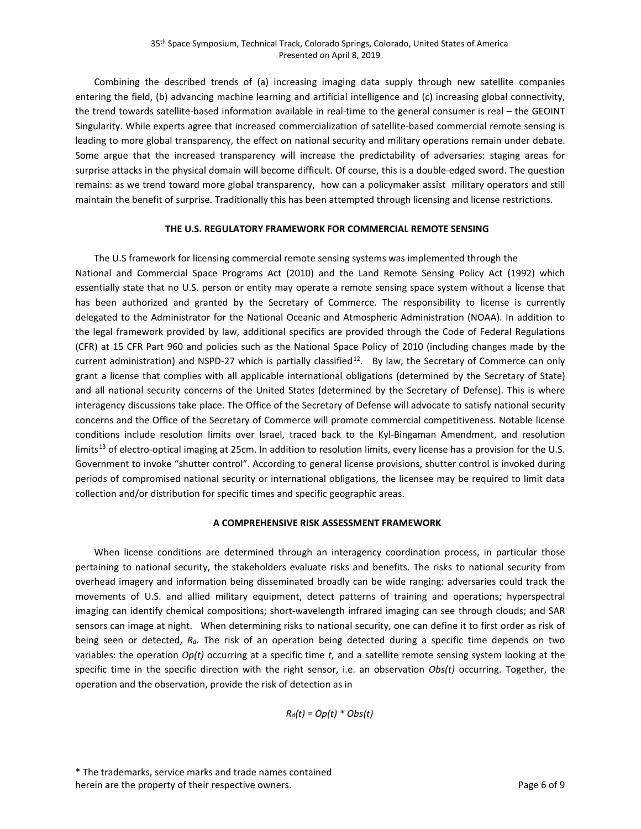Combining the described trends of (a) increasing imaging data supply through new satellite companies entering the field, (b) advancing machine learning and artificial intelligence and (c) increasing global connectivity, the trend towards satellite-based information available in real-time to the general consumer is real – the GEOINT Singularity. While experts agree that increased commercialization of satellite-based commercial remote sensing is leading to more global transparency, the effect on national security and military operations remain under debate. Some argue that the increased transparency will increase the predictability of adversaries: staging areas for surprise attacks in the physical domain will become difficult. Of course, this is a double-edged sword. The question remains: as we trend toward more global transparency, how can a policymaker assist military operators and still maintain the benefit of surprise. Traditionally this has been attempted through licensing and license restrictions.

## **THE U.S. REGULATORY FRAMEWORK FOR COMMERCIAL REMOTE SENSING**

The U.S framework for licensing commercial remote sensing systems was implemented through the National and Commercial Space Programs Act (2010) and the Land Remote Sensing Policy Act (1992) which essentially state that no U.S. person or entity may operate a remote sensing space system without a license that has been authorized and granted by the Secretary of Commerce. The responsibility to license is currently delegated to the Administrator for the National Oceanic and Atmospheric Administration (NOAA). In addition to the legal framework provided by law, additional specifics are provided through the Code of Federal Regulations (CFR) at 15 CFR Part 960 and policies such as the National Space Policy of 2010 (including changes made by the current administration) and NSPD-27 which is partially classified<sup>[12](#page-8-8)</sup>. By law, the Secretary of Commerce can only grant a license that complies with all applicable international obligations (determined by the Secretary of State) and all national security concerns of the United States (determined by the Secretary of Defense). This is where interagency discussions take place. The Office of the Secretary of Defense will advocate to satisfy national security concerns and the Office of the Secretary of Commerce will promote commercial competitiveness. Notable license conditions include resolution limits over Israel, traced back to the Kyl-Bingaman Amendment, and resolution limits<sup>[13](#page-8-9)</sup> of electro-optical imaging at 25cm. In addition to resolution limits, every license has a provision for the U.S. Government to invoke "shutter control". According to general license provisions, shutter control is invoked during periods of compromised national security or international obligations, the licensee may be required to limit data collection and/or distribution for specific times and specific geographic areas.

## **A COMPREHENSIVE RISK ASSESSMENT FRAMEWORK**

When license conditions are determined through an interagency coordination process, in particular those pertaining to national security, the stakeholders evaluate risks and benefits. The risks to national security from overhead imagery and information being disseminated broadly can be wide ranging: adversaries could track the movements of U.S. and allied military equipment, detect patterns of training and operations; hyperspectral imaging can identify chemical compositions; short-wavelength infrared imaging can see through clouds; and SAR sensors can image at night. When determining risks to national security, one can define it to first order as risk of being seen or detected, *Rd*. The risk of an operation being detected during a specific time depends on two variables: the operation *Op(t)* occurring at a specific time *t*, and a satellite remote sensing system looking at the specific time in the specific direction with the right sensor, i.e. an observation *Obs(t)* occurring. Together, the operation and the observation, provide the risk of detection as in

*Rd(t) = Op(t) \* Obs(t)*

<sup>\*</sup> The trademarks, service marks and trade names contained herein are the property of their respective owners. The property of  $\theta$  and  $\theta$  and  $\theta$  and  $\theta$  of 9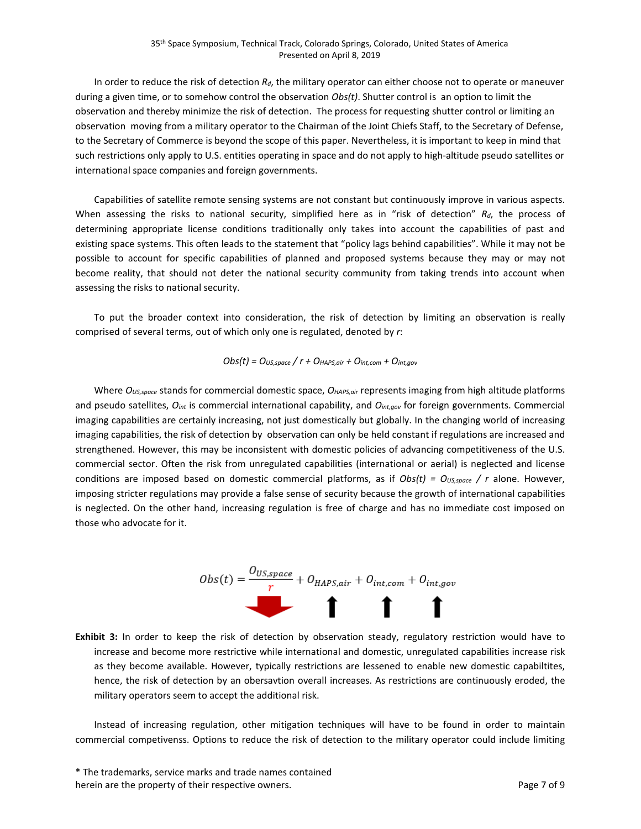In order to reduce the risk of detection *Rd*, the military operator can either choose not to operate or maneuver during a given time, or to somehow control the observation *Obs(t)*. Shutter control is an option to limit the observation and thereby minimize the risk of detection. The process for requesting shutter control or limiting an observation moving from a military operator to the Chairman of the Joint Chiefs Staff, to the Secretary of Defense, to the Secretary of Commerce is beyond the scope of this paper. Nevertheless, it is important to keep in mind that such restrictions only apply to U.S. entities operating in space and do not apply to high-altitude pseudo satellites or international space companies and foreign governments.

Capabilities of satellite remote sensing systems are not constant but continuously improve in various aspects. When assessing the risks to national security, simplified here as in "risk of detection" *Rd*, the process of determining appropriate license conditions traditionally only takes into account the capabilities of past and existing space systems. This often leads to the statement that "policy lags behind capabilities". While it may not be possible to account for specific capabilities of planned and proposed systems because they may or may not become reality, that should not deter the national security community from taking trends into account when assessing the risks to national security.

To put the broader context into consideration, the risk of detection by limiting an observation is really comprised of several terms, out of which only one is regulated, denoted by *r*:

*Obs(t) = OUS,space / r + OHAPS,air + Oint,com + Oint,gov*

Where *OUS,space* stands for commercial domestic space, *OHAPS,air* represents imaging from high altitude platforms and pseudo satellites, *Oint* is commercial international capability, and *Oint,gov* for foreign governments. Commercial imaging capabilities are certainly increasing, not just domestically but globally. In the changing world of increasing imaging capabilities, the risk of detection by observation can only be held constant if regulations are increased and strengthened. However, this may be inconsistent with domestic policies of advancing competitiveness of the U.S. commercial sector. Often the risk from unregulated capabilities (international or aerial) is neglected and license conditions are imposed based on domestic commercial platforms, as if  $Obs(t) = O_{US,space} / r$  alone. However, imposing stricter regulations may provide a false sense of security because the growth of international capabilities is neglected. On the other hand, increasing regulation is free of charge and has no immediate cost imposed on those who advocate for it.



**Exhibit 3:** In order to keep the risk of detection by observation steady, regulatory restriction would have to increase and become more restrictive while international and domestic, unregulated capabilities increase risk as they become available. However, typically restrictions are lessened to enable new domestic capabiltites, hence, the risk of detection by an obersavtion overall increases. As restrictions are continuously eroded, the military operators seem to accept the additional risk.

Instead of increasing regulation, other mitigation techniques will have to be found in order to maintain commercial competivenss. Options to reduce the risk of detection to the military operator could include limiting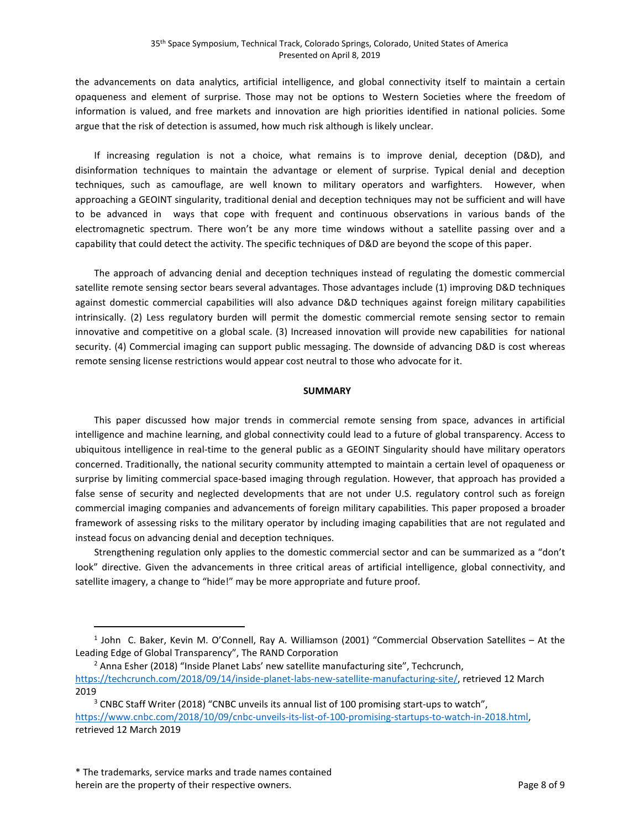the advancements on data analytics, artificial intelligence, and global connectivity itself to maintain a certain opaqueness and element of surprise. Those may not be options to Western Societies where the freedom of information is valued, and free markets and innovation are high priorities identified in national policies. Some argue that the risk of detection is assumed, how much risk although is likely unclear.

If increasing regulation is not a choice, what remains is to improve denial, deception (D&D), and disinformation techniques to maintain the advantage or element of surprise. Typical denial and deception techniques, such as camouflage, are well known to military operators and warfighters. However, when approaching a GEOINT singularity, traditional denial and deception techniques may not be sufficient and will have to be advanced in ways that cope with frequent and continuous observations in various bands of the electromagnetic spectrum. There won't be any more time windows without a satellite passing over and a capability that could detect the activity. The specific techniques of D&D are beyond the scope of this paper.

The approach of advancing denial and deception techniques instead of regulating the domestic commercial satellite remote sensing sector bears several advantages. Those advantages include (1) improving D&D techniques against domestic commercial capabilities will also advance D&D techniques against foreign military capabilities intrinsically. (2) Less regulatory burden will permit the domestic commercial remote sensing sector to remain innovative and competitive on a global scale. (3) Increased innovation will provide new capabilities for national security. (4) Commercial imaging can support public messaging. The downside of advancing D&D is cost whereas remote sensing license restrictions would appear cost neutral to those who advocate for it.

## **SUMMARY**

This paper discussed how major trends in commercial remote sensing from space, advances in artificial intelligence and machine learning, and global connectivity could lead to a future of global transparency. Access to ubiquitous intelligence in real-time to the general public as a GEOINT Singularity should have military operators concerned. Traditionally, the national security community attempted to maintain a certain level of opaqueness or surprise by limiting commercial space-based imaging through regulation. However, that approach has provided a false sense of security and neglected developments that are not under U.S. regulatory control such as foreign commercial imaging companies and advancements of foreign military capabilities. This paper proposed a broader framework of assessing risks to the military operator by including imaging capabilities that are not regulated and instead focus on advancing denial and deception techniques.

Strengthening regulation only applies to the domestic commercial sector and can be summarized as a "don't look" directive. Given the advancements in three critical areas of artificial intelligence, global connectivity, and satellite imagery, a change to "hide!" may be more appropriate and future proof.

 $\overline{a}$ 

<span id="page-7-0"></span><sup>1</sup> John C. Baker, Kevin M. O'Connell, Ray A. Williamson (2001) "Commercial Observation Satellites – At the Leading Edge of Global Transparency", The RAND Corporation

<span id="page-7-1"></span><sup>&</sup>lt;sup>2</sup> Anna Esher (2018) "Inside Planet Labs' new satellite manufacturing site", Techcrunch, [https://techcrunch.com/2018/09/14/inside-planet-labs-new-satellite-manufacturing-site/,](https://techcrunch.com/2018/09/14/inside-planet-labs-new-satellite-manufacturing-site/) retrieved 12 March 2019<br><sup>3</sup> CNBC Staff Writer (2018) "CNBC unveils its annual list of 100 promising start-ups to watch",

<span id="page-7-2"></span>[https://www.cnbc.com/2018/10/09/cnbc-unveils-its-list-of-100-promising-startups-to-watch-in-2018.html,](https://www.cnbc.com/2018/10/09/cnbc-unveils-its-list-of-100-promising-startups-to-watch-in-2018.html) retrieved 12 March 2019

<sup>\*</sup> The trademarks, service marks and trade names contained herein are the property of their respective owners. The property of  $\theta$  and  $\theta$  and  $\theta$  and  $\theta$  and  $\theta$  are 8 of 9